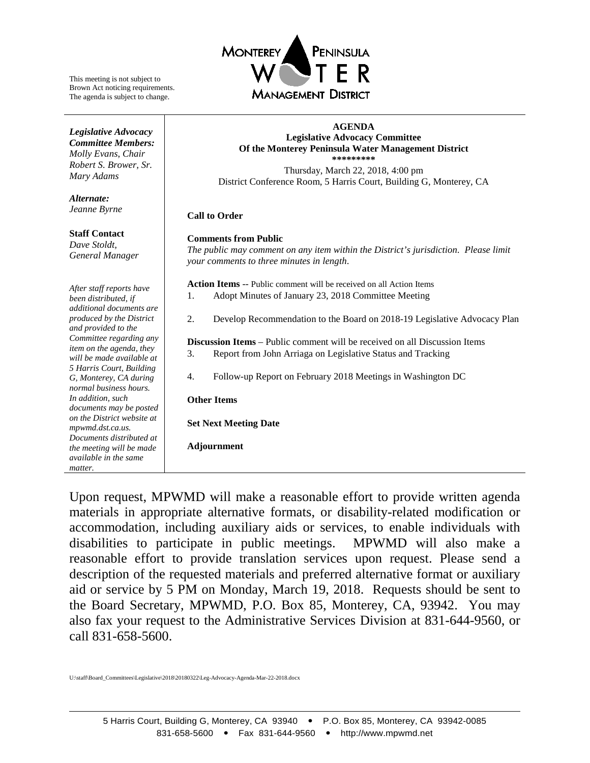

This meeting is not subject to Brown Act noticing requirements. The agenda is subject to change.

*Legislative Advocacy Committee Members: Molly Evans*, *Chair Robert S. Brower, Sr.*

*Mary Adams*

**Staff Contact** *Dave Stoldt, General Manager*

*Alternate: Jeanne Byrne*

#### **AGENDA Legislative Advocacy Committee Of the Monterey Peninsula Water Management District \*\*\*\*\*\*\*\*\***

Thursday, March 22, 2018, 4:00 pm District Conference Room, 5 Harris Court, Building G, Monterey, CA

#### **Call to Order**

#### **Comments from Public**

*The public may comment on any item within the District's jurisdiction. Please limit your comments to three minutes in length*.

**Action Items** -- Public comment will be received on all Action Items

- 1. [Adopt Minutes of January 23, 2018](#page-1-0) Committee Meeting
- 2. [Develop Recommendation to the Board on 2018-19](#page-4-0) Legislative Advocacy Plan

**Discussion Items** – Public comment will be received on all Discussion Items 3. [Report from John Arriaga on Legislative Status and Tracking](#page-7-0) 

- 
- 4. [Follow-up Report on February 2018 Meetings in Washington DC](#page-15-0)

#### **Other Items**

**Set Next Meeting Date**

**Adjournment**

Upon request, MPWMD will make a reasonable effort to provide written agenda materials in appropriate alternative formats, or disability-related modification or accommodation, including auxiliary aids or services, to enable individuals with disabilities to participate in public meetings. MPWMD will also make a reasonable effort to provide translation services upon request. Please send a description of the requested materials and preferred alternative format or auxiliary aid or service by 5 PM on Monday, March 19, 2018. Requests should be sent to the Board Secretary, MPWMD, P.O. Box 85, Monterey, CA, 93942. You may also fax your request to the Administrative Services Division at 831-644-9560, or call 831-658-5600.

*After staff reports have been distributed, if additional documents are produced by the District and provided to the Committee regarding any item on the agenda, they will be made available at 5 Harris Court, Building G, Monterey, CA during normal business hours. In addition, such documents may be posted on the District website at mpwmd.dst.ca.us. Documents distributed at the meeting will be made available in the same matter.*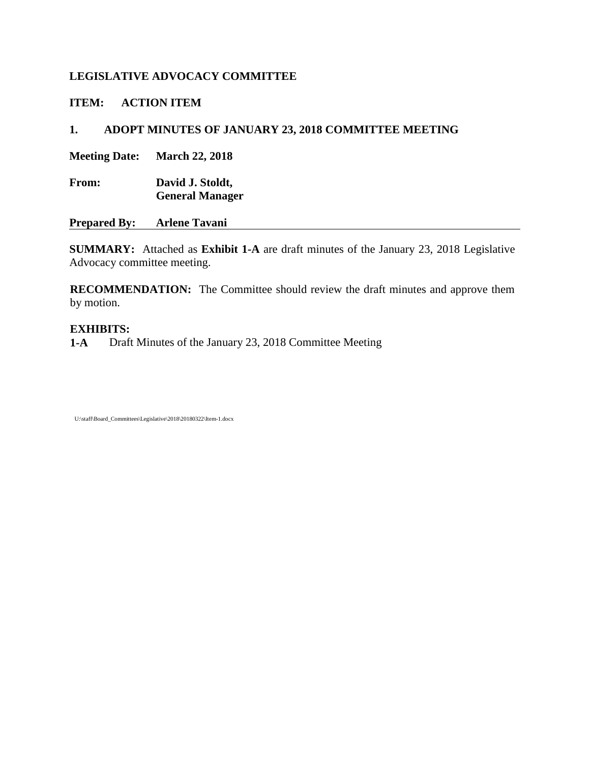<span id="page-1-0"></span>**ITEM: ACTION ITEM**

# **1. ADOPT MINUTES OF JANUARY 23, 2018 COMMITTEE MEETING**

**Meeting Date: March 22, 2018**

**From: David J. Stoldt, General Manager**

**Prepared By: Arlene Tavani**

**SUMMARY:** Attached as **Exhibit [1-A](#page-2-0)** are draft minutes of the January 23, 2018 Legislative Advocacy committee meeting.

**RECOMMENDATION:** The Committee should review the draft minutes and approve them by motion.

## **EXHIBITS:**

**[1-A](#page-2-0)** Draft Minutes of the January 23, 2018 Committee Meeting

U:\staff\Board\_Committees\Legislative\2018\20180322\Item-1.docx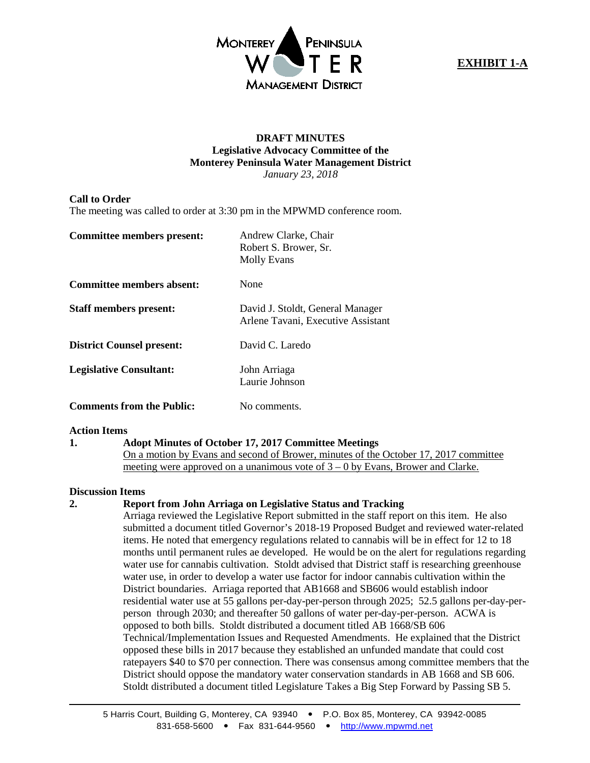

## **EXHIBIT 1-A**

#### **DRAFT MINUTES Legislative Advocacy Committee of the Monterey Peninsula Water Management District** *January 23, 2018*

#### <span id="page-2-0"></span>**Call to Order**

The meeting was called to order at 3:30 pm in the MPWMD conference room.

| Committee members present:       | Andrew Clarke, Chair<br>Robert S. Brower, Sr.<br><b>Molly Evans</b>    |
|----------------------------------|------------------------------------------------------------------------|
| Committee members absent:        | None                                                                   |
| <b>Staff members present:</b>    | David J. Stoldt, General Manager<br>Arlene Tavani, Executive Assistant |
| <b>District Counsel present:</b> | David C. Laredo                                                        |
| <b>Legislative Consultant:</b>   | John Arriaga<br>Laurie Johnson                                         |
| <b>Comments from the Public:</b> | No comments.                                                           |

#### **Action Items**

#### **1. Adopt Minutes of October 17, 2017 Committee Meetings**

On a motion by Evans and second of Brower, minutes of the October 17, 2017 committee meeting were approved on a unanimous vote of 3 – 0 by Evans, Brower and Clarke.

#### **Discussion Items**

#### **2. Report from John Arriaga on Legislative Status and Tracking**

Arriaga reviewed the Legislative Report submitted in the staff report on this item. He also submitted a document titled Governor's 2018-19 Proposed Budget and reviewed water-related items. He noted that emergency regulations related to cannabis will be in effect for 12 to 18 months until permanent rules ae developed. He would be on the alert for regulations regarding water use for cannabis cultivation. Stoldt advised that District staff is researching greenhouse water use, in order to develop a water use factor for indoor cannabis cultivation within the District boundaries. Arriaga reported that AB1668 and SB606 would establish indoor residential water use at 55 gallons per-day-per-person through 2025; 52.5 gallons per-day-perperson through 2030; and thereafter 50 gallons of water per-day-per-person. ACWA is opposed to both bills. Stoldt distributed a document titled AB 1668/SB 606 Technical/Implementation Issues and Requested Amendments. He explained that the District opposed these bills in 2017 because they established an unfunded mandate that could cost ratepayers \$40 to \$70 per connection. There was consensus among committee members that the District should oppose the mandatory water conservation standards in AB 1668 and SB 606. Stoldt distributed a document titled Legislature Takes a Big Step Forward by Passing SB 5.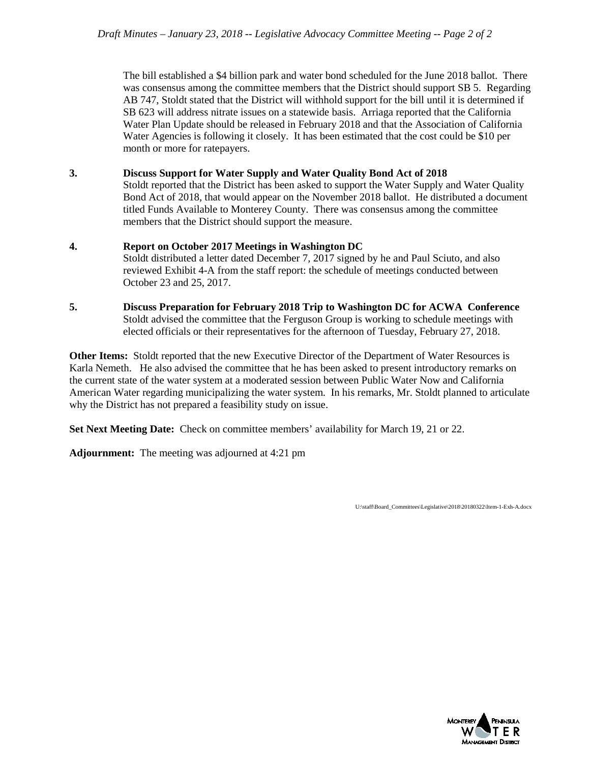The bill established a \$4 billion park and water bond scheduled for the June 2018 ballot. There was consensus among the committee members that the District should support SB 5. Regarding AB 747, Stoldt stated that the District will withhold support for the bill until it is determined if SB 623 will address nitrate issues on a statewide basis. Arriaga reported that the California Water Plan Update should be released in February 2018 and that the Association of California Water Agencies is following it closely. It has been estimated that the cost could be \$10 per month or more for ratepayers.

**3. Discuss Support for Water Supply and Water Quality Bond Act of 2018**

Stoldt reported that the District has been asked to support the Water Supply and Water Quality Bond Act of 2018, that would appear on the November 2018 ballot. He distributed a document titled Funds Available to Monterey County. There was consensus among the committee members that the District should support the measure.

#### **4. Report on October 2017 Meetings in Washington DC** Stoldt distributed a letter dated December 7, 2017 signed by he and Paul Sciuto, and also reviewed Exhibit 4-A from the staff report: the schedule of meetings conducted between October 23 and 25, 2017.

**5. Discuss Preparation for February 2018 Trip to Washington DC for ACWA Conference** Stoldt advised the committee that the Ferguson Group is working to schedule meetings with elected officials or their representatives for the afternoon of Tuesday, February 27, 2018.

**Other Items:** Stoldt reported that the new Executive Director of the Department of Water Resources is Karla Nemeth. He also advised the committee that he has been asked to present introductory remarks on the current state of the water system at a moderated session between Public Water Now and California American Water regarding municipalizing the water system. In his remarks, Mr. Stoldt planned to articulate why the District has not prepared a feasibility study on issue.

**Set Next Meeting Date:** Check on committee members' availability for March 19, 21 or 22.

**Adjournment:** The meeting was adjourned at 4:21 pm

U:\staff\Board\_Committees\Legislative\2018\20180322\Item-1-Exh-A.docx

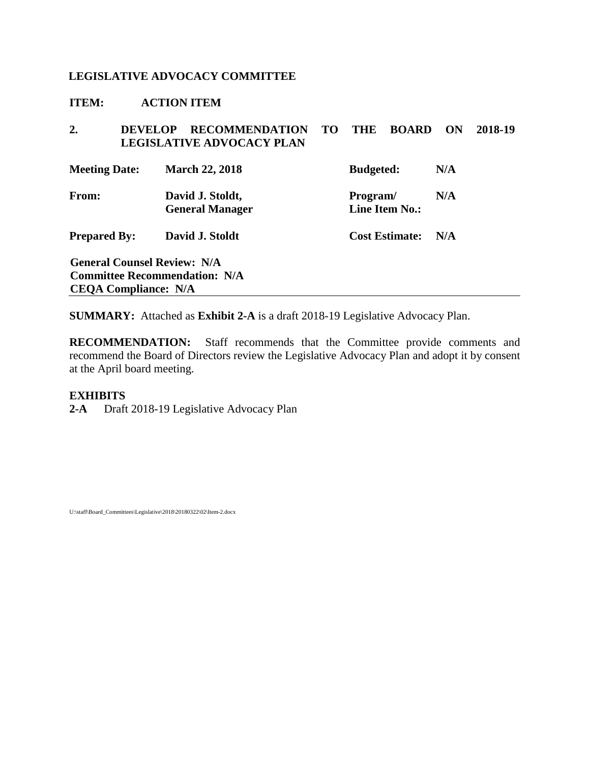<span id="page-4-0"></span>**ITEM: ACTION ITEM**

| 2.                                     | <b>RECOMMENDATION</b><br>DEVEL OP<br><b>LEGISLATIVE ADVOCACY PLAN</b>      | <b>TO</b>                                | <b>THE</b>            | <b>BOARD</b> | ON  | 2018-19 |
|----------------------------------------|----------------------------------------------------------------------------|------------------------------------------|-----------------------|--------------|-----|---------|
| <b>Meeting Date:</b>                   | <b>March 22, 2018</b>                                                      |                                          | <b>Budgeted:</b>      |              | N/A |         |
| From:                                  | David J. Stoldt,<br><b>General Manager</b>                                 | N/A<br>Program/<br><b>Line Item No.:</b> |                       |              |     |         |
| David J. Stoldt<br><b>Prepared By:</b> |                                                                            |                                          | <b>Cost Estimate:</b> |              | N/A |         |
| <b>CEQA Compliance: N/A</b>            | <b>General Counsel Review: N/A</b><br><b>Committee Recommendation: N/A</b> |                                          |                       |              |     |         |

**SUMMARY:** Attached as **Exhibit [2-A](#page-5-0)** is a draft 2018-19 Legislative Advocacy Plan.

**RECOMMENDATION:** Staff recommends that the Committee provide comments and recommend the Board of Directors review the Legislative Advocacy Plan and adopt it by consent at the April board meeting.

#### **EXHIBITS**

**[2-A](#page-5-0)** Draft 2018-19 Legislative Advocacy Plan

U:\staff\Board\_Committees\Legislative\2018\20180322\02\Item-2.docx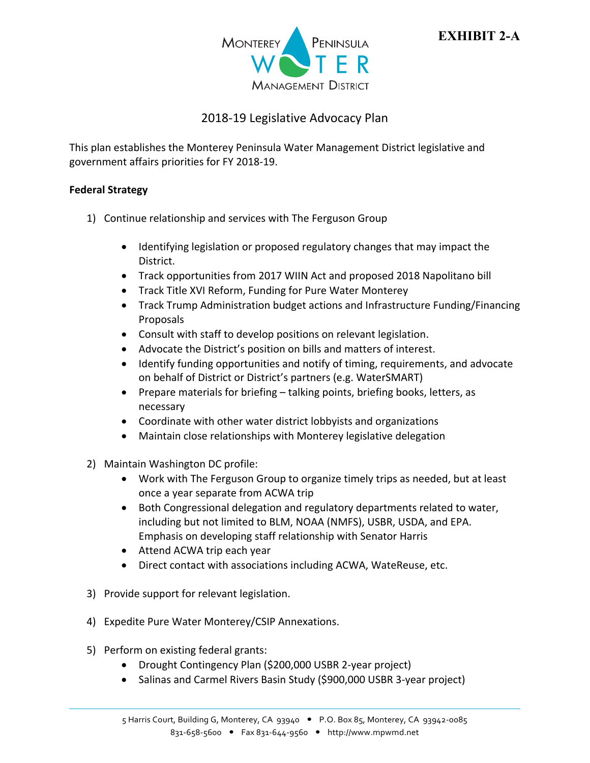

# **EXHIBIT 2-A**

## 2018‐19 Legislative Advocacy Plan

<span id="page-5-0"></span>This plan establishes the Monterey Peninsula Water Management District legislative and government affairs priorities for FY 2018‐19.

## **Federal Strategy**

- 1) Continue relationship and services with The Ferguson Group
	- Identifying legislation or proposed regulatory changes that may impact the District.
	- Track opportunities from 2017 WIIN Act and proposed 2018 Napolitano bill
	- Track Title XVI Reform, Funding for Pure Water Monterey
	- Track Trump Administration budget actions and Infrastructure Funding/Financing Proposals
	- Consult with staff to develop positions on relevant legislation.
	- Advocate the District's position on bills and matters of interest.
	- Identify funding opportunities and notify of timing, requirements, and advocate on behalf of District or District's partners (e.g. WaterSMART)
	- Prepare materials for briefing talking points, briefing books, letters, as necessary
	- Coordinate with other water district lobbyists and organizations
	- Maintain close relationships with Monterey legislative delegation
- 2) Maintain Washington DC profile:
	- Work with The Ferguson Group to organize timely trips as needed, but at least once a year separate from ACWA trip
	- Both Congressional delegation and regulatory departments related to water, including but not limited to BLM, NOAA (NMFS), USBR, USDA, and EPA. Emphasis on developing staff relationship with Senator Harris
	- Attend ACWA trip each year
	- Direct contact with associations including ACWA, WateReuse, etc.
- 3) Provide support for relevant legislation.
- 4) Expedite Pure Water Monterey/CSIP Annexations.
- 5) Perform on existing federal grants:
	- Drought Contingency Plan (\$200,000 USBR 2-year project)
	- Salinas and Carmel Rivers Basin Study (\$900,000 USBR 3-year project)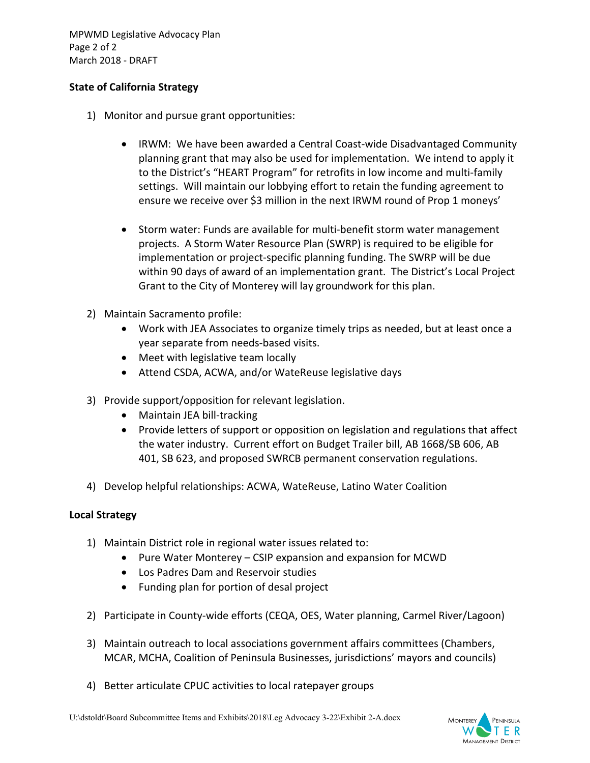MPWMD Legislative Advocacy Plan Page 2 of 2 March 2018 ‐ DRAFT

## **State of California Strategy**

- 1) Monitor and pursue grant opportunities:
	- IRWM: We have been awarded a Central Coast-wide Disadvantaged Community planning grant that may also be used for implementation. We intend to apply it to the District's "HEART Program" for retrofits in low income and multi‐family settings. Will maintain our lobbying effort to retain the funding agreement to ensure we receive over \$3 million in the next IRWM round of Prop 1 moneys'
	- Storm water: Funds are available for multi-benefit storm water management projects. A Storm Water Resource Plan (SWRP) is required to be eligible for implementation or project‐specific planning funding. The SWRP will be due within 90 days of award of an implementation grant. The District's Local Project Grant to the City of Monterey will lay groundwork for this plan.
- 2) Maintain Sacramento profile:
	- Work with JEA Associates to organize timely trips as needed, but at least once a year separate from needs‐based visits.
	- Meet with legislative team locally
	- Attend CSDA, ACWA, and/or WateReuse legislative days
- 3) Provide support/opposition for relevant legislation.
	- Maintain JEA bill-tracking
	- Provide letters of support or opposition on legislation and regulations that affect the water industry. Current effort on Budget Trailer bill, AB 1668/SB 606, AB 401, SB 623, and proposed SWRCB permanent conservation regulations.
- 4) Develop helpful relationships: ACWA, WateReuse, Latino Water Coalition

## **Local Strategy**

- 1) Maintain District role in regional water issues related to:
	- Pure Water Monterey CSIP expansion and expansion for MCWD
	- Los Padres Dam and Reservoir studies
	- Funding plan for portion of desal project
- 2) Participate in County‐wide efforts (CEQA, OES, Water planning, Carmel River/Lagoon)
- 3) Maintain outreach to local associations government affairs committees (Chambers, MCAR, MCHA, Coalition of Peninsula Businesses, jurisdictions' mayors and councils)
- 4) Better articulate CPUC activities to local ratepayer groups

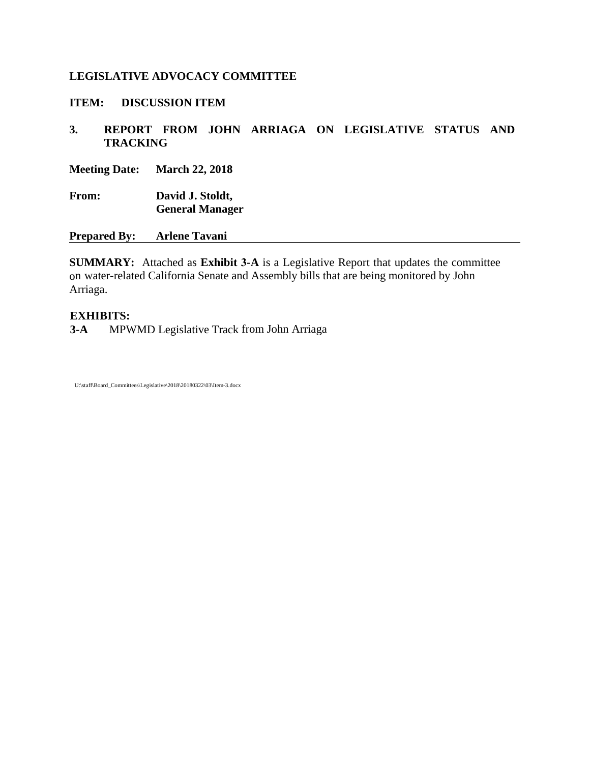#### <span id="page-7-0"></span>**ITEM: DISCUSSION ITEM**

## **3. REPORT FROM JOHN ARRIAGA ON LEGISLATIVE STATUS AND TRACKING**

**Meeting Date: March 22, 2018**

**From: David J. Stoldt, General Manager**

**Prepared By: Arlene Tavani**

**SUMMARY:** Attached as **Exhibit 3[-A](#page-8-0)** is a Legislative Report that updates the committee on water-related California Senate and Assembly bills that are being monitored by John Arriaga.

#### **EXHIBITS:**

**[3-A](#page-8-0)** MPWMD Legislative Track from John Arriaga

U:\staff\Board\_Committees\Legislative\2018\20180322\03\Item-3.docx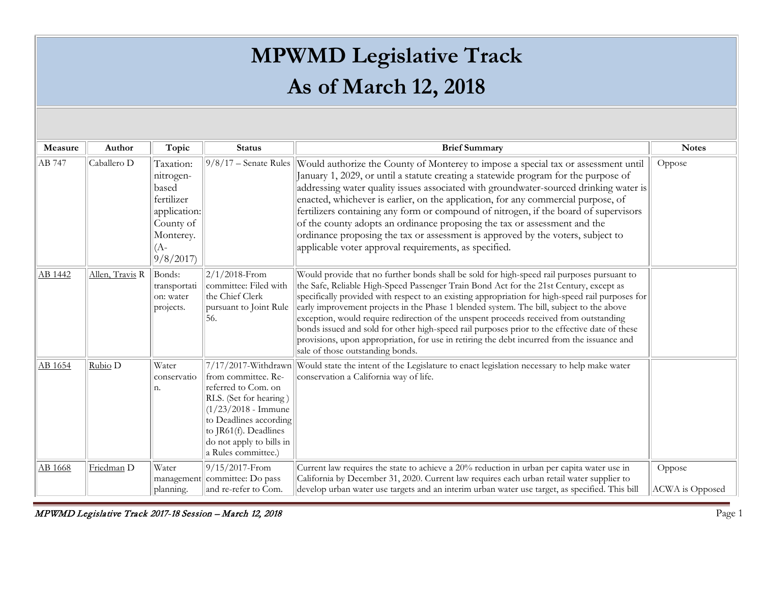# **MPWMD Legislative Track As of March 12, 2018**

<span id="page-8-0"></span>

| Measure | Author          | Topic                                                                                                      | <b>Status</b>                                                                                                                                                                                               | <b>Brief Summary</b>                                                                                                                                                                                                                                                                                                                                                                                                                                                                                                                                                                                                                                                                                               | <b>Notes</b>                     |
|---------|-----------------|------------------------------------------------------------------------------------------------------------|-------------------------------------------------------------------------------------------------------------------------------------------------------------------------------------------------------------|--------------------------------------------------------------------------------------------------------------------------------------------------------------------------------------------------------------------------------------------------------------------------------------------------------------------------------------------------------------------------------------------------------------------------------------------------------------------------------------------------------------------------------------------------------------------------------------------------------------------------------------------------------------------------------------------------------------------|----------------------------------|
| AB 747  | Caballero D     | Taxation:<br>nitrogen-<br>based<br>fertilizer<br>application:<br>County of<br>Monterey.<br>(A-<br>9/8/2017 |                                                                                                                                                                                                             | $9/8/17$ – Senate Rules Would authorize the County of Monterey to impose a special tax or assessment until<br>January 1, 2029, or until a statute creating a statewide program for the purpose of<br>addressing water quality issues associated with groundwater-sourced drinking water is<br>enacted, whichever is earlier, on the application, for any commercial purpose, of<br>fertilizers containing any form or compound of nitrogen, if the board of supervisors<br>of the county adopts an ordinance proposing the tax or assessment and the<br>ordinance proposing the tax or assessment is approved by the voters, subject to<br>applicable voter approval requirements, as specified.                   | Oppose                           |
| AB 1442 | Allen, Travis R | Bonds:<br>transportati<br>on: water<br>projects.                                                           | $2/1/2018$ -From<br>committee: Filed with<br>the Chief Clerk<br>pursuant to Joint Rule<br>56.                                                                                                               | Would provide that no further bonds shall be sold for high-speed rail purposes pursuant to<br>the Safe, Reliable High-Speed Passenger Train Bond Act for the 21st Century, except as<br>specifically provided with respect to an existing appropriation for high-speed rail purposes for<br>early improvement projects in the Phase 1 blended system. The bill, subject to the above<br>exception, would require redirection of the unspent proceeds received from outstanding<br>bonds issued and sold for other high-speed rail purposes prior to the effective date of these<br>provisions, upon appropriation, for use in retiring the debt incurred from the issuance and<br>sale of those outstanding bonds. |                                  |
| AB 1654 | Rubio D         | Water<br>conservatio<br>n.                                                                                 | from committee. Re-<br>referred to Com. on<br>RLS. (Set for hearing)<br>$(1/23/2018 - \text{Immune})$<br>to Deadlines according<br>to JR61(f). Deadlines<br>do not apply to bills in<br>a Rules committee.) | 7/17/2017-Withdrawn Would state the intent of the Legislature to enact legislation necessary to help make water<br>conservation a California way of life.                                                                                                                                                                                                                                                                                                                                                                                                                                                                                                                                                          |                                  |
| AB 1668 | Friedman D      | Water<br>management<br>planning.                                                                           | 9/15/2017-From<br>committee: Do pass<br>and re-refer to Com.                                                                                                                                                | Current law requires the state to achieve a 20% reduction in urban per capita water use in<br>California by December 31, 2020. Current law requires each urban retail water supplier to<br>develop urban water use targets and an interim urban water use target, as specified. This bill                                                                                                                                                                                                                                                                                                                                                                                                                          | Oppose<br><b>ACWA</b> is Opposed |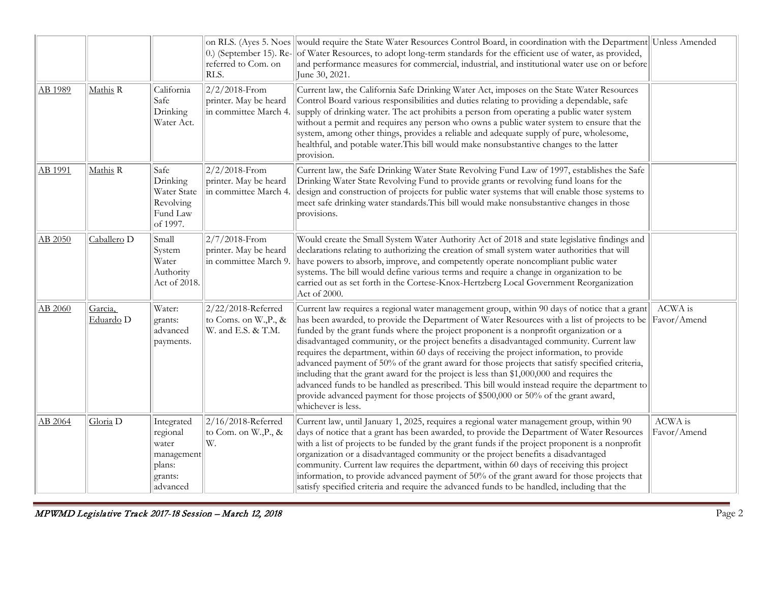|         |                        |                                                                                | 0.) (September 15). Re-<br>referred to Com. on<br>RLS.             | on RLS. (Ayes 5. Noes would require the State Water Resources Control Board, in coordination with the Department Unless Amended<br>of Water Resources, to adopt long-term standards for the efficient use of water, as provided,<br>and performance measures for commercial, industrial, and institutional water use on or before<br>June 30, 2021.                                                                                                                                                                                                                                                                                                                                                                                                                                                                                                                                        |                        |
|---------|------------------------|--------------------------------------------------------------------------------|--------------------------------------------------------------------|--------------------------------------------------------------------------------------------------------------------------------------------------------------------------------------------------------------------------------------------------------------------------------------------------------------------------------------------------------------------------------------------------------------------------------------------------------------------------------------------------------------------------------------------------------------------------------------------------------------------------------------------------------------------------------------------------------------------------------------------------------------------------------------------------------------------------------------------------------------------------------------------|------------------------|
| AB 1989 | Mathis R               | California<br>Safe<br>Drinking<br>Water Act.                                   | $2/2/2018$ -From<br>printer. May be heard<br>in committee March 4. | Current law, the California Safe Drinking Water Act, imposes on the State Water Resources<br>Control Board various responsibilities and duties relating to providing a dependable, safe<br>supply of drinking water. The act prohibits a person from operating a public water system<br>without a permit and requires any person who owns a public water system to ensure that the<br>system, among other things, provides a reliable and adequate supply of pure, wholesome,<br>healthful, and potable water. This bill would make nonsubstantive changes to the latter<br>provision.                                                                                                                                                                                                                                                                                                     |                        |
| AB 1991 | Mathis R               | Safe<br>Drinking<br>Water State<br>Revolving<br>Fund Law<br>of 1997.           | $2/2/2018$ -From<br>printer. May be heard<br>in committee March 4. | Current law, the Safe Drinking Water State Revolving Fund Law of 1997, establishes the Safe<br>Drinking Water State Revolving Fund to provide grants or revolving fund loans for the<br>design and construction of projects for public water systems that will enable those systems to<br>meet safe drinking water standards. This bill would make nonsubstantive changes in those<br>provisions.                                                                                                                                                                                                                                                                                                                                                                                                                                                                                          |                        |
| AB 2050 | Caballero <sub>D</sub> | Small<br>System<br>Water<br>Authority<br>Act of 2018.                          | 2/7/2018-From<br>printer. May be heard<br>in committee March 9.    | Would create the Small System Water Authority Act of 2018 and state legislative findings and<br>declarations relating to authorizing the creation of small system water authorities that will<br>have powers to absorb, improve, and competently operate noncompliant public water<br>systems. The bill would define various terms and require a change in organization to be<br>carried out as set forth in the Cortese-Knox-Hertzberg Local Government Reorganization<br>Act of 2000.                                                                                                                                                                                                                                                                                                                                                                                                    |                        |
| AB 2060 | Garcia,<br>Eduardo D   | Water:<br>grants:<br>advanced<br>payments.                                     | 2/22/2018-Referred<br>to Coms. on W., P., &<br>W. and E.S. & T.M.  | Current law requires a regional water management group, within 90 days of notice that a grant<br>has been awarded, to provide the Department of Water Resources with a list of projects to be<br>funded by the grant funds where the project proponent is a nonprofit organization or a<br>disadvantaged community, or the project benefits a disadvantaged community. Current law<br>requires the department, within 60 days of receiving the project information, to provide<br>advanced payment of 50% of the grant award for those projects that satisfy specified criteria,<br>including that the grant award for the project is less than \$1,000,000 and requires the<br>advanced funds to be handled as prescribed. This bill would instead require the department to<br>provide advanced payment for those projects of \$500,000 or 50% of the grant award,<br>whichever is less. | ACWA is<br>Favor/Amend |
| AB 2064 | Gloria <sub>D</sub>    | Integrated<br>regional<br>water<br>management<br>plans:<br>grants:<br>advanced | $2/16/2018$ -Referred<br>to Com. on W., P., &<br>W.                | Current law, until January 1, 2025, requires a regional water management group, within 90<br>days of notice that a grant has been awarded, to provide the Department of Water Resources<br>with a list of projects to be funded by the grant funds if the project proponent is a nonprofit<br>organization or a disadvantaged community or the project benefits a disadvantaged<br>community. Current law requires the department, within 60 days of receiving this project<br>information, to provide advanced payment of 50% of the grant award for those projects that<br>satisfy specified criteria and require the advanced funds to be handled, including that the                                                                                                                                                                                                                   | ACWA is<br>Favor/Amend |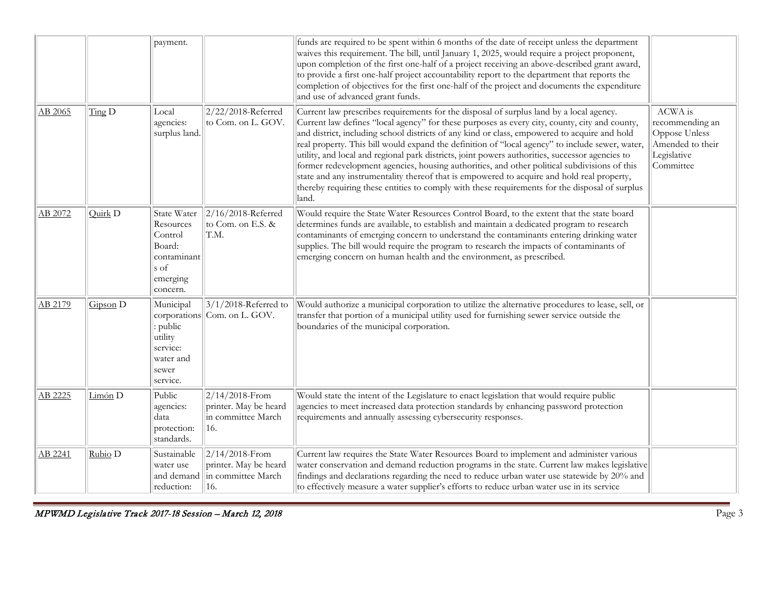|                |                            | payment.                                                                                     |                                                                         | funds are required to be spent within 6 months of the date of receipt unless the department<br>waives this requirement. The bill, until January 1, 2025, would require a project proponent,<br>upon completion of the first one-half of a project receiving an above-described grant award,<br>to provide a first one-half project accountability report to the department that reports the<br>completion of objectives for the first one-half of the project and documents the expenditure<br>and use of advanced grant funds.                                                                                                                                                                                                                                                                         |                                                                                             |
|----------------|----------------------------|----------------------------------------------------------------------------------------------|-------------------------------------------------------------------------|---------------------------------------------------------------------------------------------------------------------------------------------------------------------------------------------------------------------------------------------------------------------------------------------------------------------------------------------------------------------------------------------------------------------------------------------------------------------------------------------------------------------------------------------------------------------------------------------------------------------------------------------------------------------------------------------------------------------------------------------------------------------------------------------------------|---------------------------------------------------------------------------------------------|
| <u>AB 2065</u> | $\overline{\text{Ting}}$ D | Local<br>agencies:<br>surplus land.                                                          | $2/22/2018$ -Referred<br>to Com. on L. GOV.                             | Current law prescribes requirements for the disposal of surplus land by a local agency.<br>Current law defines "local agency" for these purposes as every city, county, city and county,<br>and district, including school districts of any kind or class, empowered to acquire and hold<br>real property. This bill would expand the definition of "local agency" to include sewer, water,<br>utility, and local and regional park districts, joint powers authorities, successor agencies to<br>former redevelopment agencies, housing authorities, and other political subdivisions of this<br>state and any instrumentality thereof that is empowered to acquire and hold real property,<br>thereby requiring these entities to comply with these requirements for the disposal of surplus<br>land. | ACWA is<br>recommending an<br>Oppose Unless<br>Amended to their<br>Legislative<br>Committee |
| AB 2072        | Quirk <sub>D</sub>         | State Water<br>Resources<br>Control<br>Board:<br>contaminant<br>s of<br>emerging<br>concern. | $2/16/2018$ -Referred<br>to Com. on E.S. &<br>T.M.                      | Would require the State Water Resources Control Board, to the extent that the state board<br>determines funds are available, to establish and maintain a dedicated program to research<br>contaminants of emerging concern to understand the contaminants entering drinking water<br>supplies. The bill would require the program to research the impacts of contaminants of<br>emerging concern on human health and the environment, as prescribed.                                                                                                                                                                                                                                                                                                                                                    |                                                                                             |
| AB 2179        | Gipson D                   | Municipal<br>: public<br>utility<br>service:<br>water and<br>sewer<br>service.               | $3/1/2018$ -Referred to<br>corporations Com. on L. GOV.                 | Would authorize a municipal corporation to utilize the alternative procedures to lease, sell, or<br>transfer that portion of a municipal utility used for furnishing sewer service outside the<br>boundaries of the municipal corporation.                                                                                                                                                                                                                                                                                                                                                                                                                                                                                                                                                              |                                                                                             |
| AB 2225        | Limón <sub>D</sub>         | Public<br>agencies:<br>data<br>protection:<br>standards.                                     | $2/14/2018$ -From<br>printer. May be heard<br>in committee March<br>16. | Would state the intent of the Legislature to enact legislation that would require public<br>agencies to meet increased data protection standards by enhancing password protection<br>requirements and annually assessing cybersecurity responses.                                                                                                                                                                                                                                                                                                                                                                                                                                                                                                                                                       |                                                                                             |
| AB 2241        | Rubio D                    | Sustainable<br>water use<br>and demand<br>reduction:                                         | $2/14/2018$ -From<br>printer. May be heard<br>in committee March<br>16. | Current law requires the State Water Resources Board to implement and administer various<br>water conservation and demand reduction programs in the state. Current law makes legislative<br>findings and declarations regarding the need to reduce urban water use statewide by 20% and<br>to effectively measure a water supplier's efforts to reduce urban water use in its service                                                                                                                                                                                                                                                                                                                                                                                                                   |                                                                                             |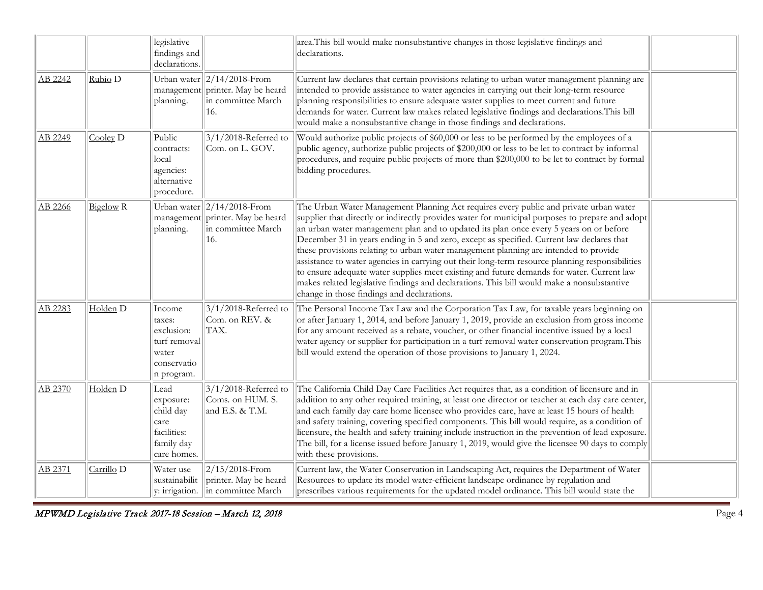|         |                       | legislative<br>findings and<br>declarations.                                         |                                                                                                  | area. This bill would make nonsubstantive changes in those legislative findings and<br>declarations.                                                                                                                                                                                                                                                                                                                                                                                                                                                                                                                                                                                                                                                                                                                |  |
|---------|-----------------------|--------------------------------------------------------------------------------------|--------------------------------------------------------------------------------------------------|---------------------------------------------------------------------------------------------------------------------------------------------------------------------------------------------------------------------------------------------------------------------------------------------------------------------------------------------------------------------------------------------------------------------------------------------------------------------------------------------------------------------------------------------------------------------------------------------------------------------------------------------------------------------------------------------------------------------------------------------------------------------------------------------------------------------|--|
| AB 2242 | Rubio D               | planning.                                                                            | Urban water $  2/14/2018$ -From<br>management printer. May be heard<br>in committee March<br>16. | Current law declares that certain provisions relating to urban water management planning are<br>intended to provide assistance to water agencies in carrying out their long-term resource<br>planning responsibilities to ensure adequate water supplies to meet current and future<br>demands for water. Current law makes related legislative findings and declarations. This bill<br>would make a nonsubstantive change in those findings and declarations.                                                                                                                                                                                                                                                                                                                                                      |  |
| AB 2249 | $\angle$ Cooley D     | Public<br>contracts:<br>local<br>agencies:<br>alternative<br>procedure.              | $3/1/2018$ -Referred to<br>Com. on L. GOV.                                                       | Would authorize public projects of \$60,000 or less to be performed by the employees of a<br>public agency, authorize public projects of \$200,000 or less to be let to contract by informal<br>procedures, and require public projects of more than \$200,000 to be let to contract by formal<br>bidding procedures.                                                                                                                                                                                                                                                                                                                                                                                                                                                                                               |  |
| AB 2266 | <b>Bigelow</b> R      | management<br>planning.                                                              | Urban water $  2/14/2018$ -From<br>printer. May be heard<br>in committee March<br>16.            | The Urban Water Management Planning Act requires every public and private urban water<br>supplier that directly or indirectly provides water for municipal purposes to prepare and adopt<br>an urban water management plan and to updated its plan once every 5 years on or before<br>December 31 in years ending in 5 and zero, except as specified. Current law declares that<br>these provisions relating to urban water management planning are intended to provide<br>assistance to water agencies in carrying out their long-term resource planning responsibilities<br>to ensure adequate water supplies meet existing and future demands for water. Current law<br>makes related legislative findings and declarations. This bill would make a nonsubstantive<br>change in those findings and declarations. |  |
| AB 2283 | Holden <sub>D</sub>   | Income<br>taxes:<br>exclusion:<br>turf removal<br>water<br>conservatio<br>n program. | 3/1/2018-Referred to<br>Com. on REV. &<br>TAX.                                                   | The Personal Income Tax Law and the Corporation Tax Law, for taxable years beginning on<br>or after January 1, 2014, and before January 1, 2019, provide an exclusion from gross income<br>for any amount received as a rebate, voucher, or other financial incentive issued by a local<br>water agency or supplier for participation in a turf removal water conservation program. This<br>bill would extend the operation of those provisions to January 1, 2024.                                                                                                                                                                                                                                                                                                                                                 |  |
| AB 2370 | Holden <sub>D</sub>   | Lead<br>exposure:<br>child day<br>care<br>facilities:<br>family day<br>care homes.   | $3/1/2018$ -Referred to<br>Coms. on HUM. S.<br>and E.S. & T.M.                                   | The California Child Day Care Facilities Act requires that, as a condition of licensure and in<br>addition to any other required training, at least one director or teacher at each day care center,<br>and each family day care home licensee who provides care, have at least 15 hours of health<br>and safety training, covering specified components. This bill would require, as a condition of<br>licensure, the health and safety training include instruction in the prevention of lead exposure.<br>The bill, for a license issued before January 1, 2019, would give the licensee 90 days to comply<br>with these provisions.                                                                                                                                                                             |  |
| AB 2371 | Carrillo <sub>D</sub> | Water use<br>sustainabilit                                                           | $2/15/2018$ -From<br>printer. May be heard<br>y: irrigation.   in committee March                | Current law, the Water Conservation in Landscaping Act, requires the Department of Water<br>Resources to update its model water-efficient landscape ordinance by regulation and<br>prescribes various requirements for the updated model ordinance. This bill would state the                                                                                                                                                                                                                                                                                                                                                                                                                                                                                                                                       |  |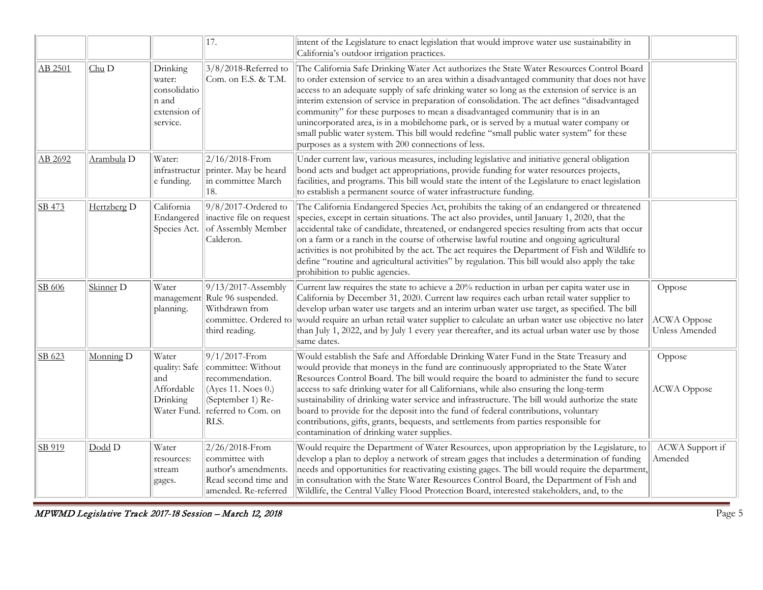|         |                       |                                                                         | 17.                                                                                                                                 | intent of the Legislature to enact legislation that would improve water use sustainability in<br>California's outdoor irrigation practices.                                                                                                                                                                                                                                                                                                                                                                                                                                                                                                                                                                               |                                                |
|---------|-----------------------|-------------------------------------------------------------------------|-------------------------------------------------------------------------------------------------------------------------------------|---------------------------------------------------------------------------------------------------------------------------------------------------------------------------------------------------------------------------------------------------------------------------------------------------------------------------------------------------------------------------------------------------------------------------------------------------------------------------------------------------------------------------------------------------------------------------------------------------------------------------------------------------------------------------------------------------------------------------|------------------------------------------------|
| AB 2501 | Chu D                 | Drinking<br>water:<br>consolidatio<br>n and<br>extension of<br>service. | $3/8/2018$ -Referred to<br>Com. on E.S. & T.M.                                                                                      | The California Safe Drinking Water Act authorizes the State Water Resources Control Board<br>to order extension of service to an area within a disadvantaged community that does not have<br>access to an adequate supply of safe drinking water so long as the extension of service is an<br>interim extension of service in preparation of consolidation. The act defines "disadvantaged<br>community" for these purposes to mean a disadvantaged community that is in an<br>unincorporated area, is in a mobilehome park, or is served by a mutual water company or<br>small public water system. This bill would redefine "small public water system" for these<br>purposes as a system with 200 connections of less. |                                                |
| AB 2692 | Arambula <sub>D</sub> | Water:<br>infrastructur<br>e funding.                                   | $2/16/2018$ -From<br>printer. May be heard<br>in committee March<br>18.                                                             | Under current law, various measures, including legislative and initiative general obligation<br>bond acts and budget act appropriations, provide funding for water resources projects,<br>facilities, and programs. This bill would state the intent of the Legislature to enact legislation<br>to establish a permanent source of water infrastructure funding.                                                                                                                                                                                                                                                                                                                                                          |                                                |
| SB 473  | Hertzberg D           | California<br>Endangered<br>Species Act.                                | $9/8/2017$ -Ordered to<br>inactive file on request<br>of Assembly Member<br>Calderon.                                               | The California Endangered Species Act, prohibits the taking of an endangered or threatened<br>species, except in certain situations. The act also provides, until January 1, 2020, that the<br>accidental take of candidate, threatened, or endangered species resulting from acts that occur<br>on a farm or a ranch in the course of otherwise lawful routine and ongoing agricultural<br>activities is not prohibited by the act. The act requires the Department of Fish and Wildlife to<br>define "routine and agricultural activities" by regulation. This bill would also apply the take<br>prohibition to public agencies.                                                                                        |                                                |
| SB 606  | Skinner <sub>D</sub>  | Water<br>management<br>planning.                                        | $9/13/2017$ -Assembly<br>Rule 96 suspended.<br>Withdrawn from<br>committee. Ordered to<br>third reading.                            | Current law requires the state to achieve a 20% reduction in urban per capita water use in<br>California by December 31, 2020. Current law requires each urban retail water supplier to<br>develop urban water use targets and an interim urban water use target, as specified. The bill<br>would require an urban retail water supplier to calculate an urban water use objective no later<br>than July 1, 2022, and by July 1 every year thereafter, and its actual urban water use by those<br>same dates.                                                                                                                                                                                                             | Oppose<br><b>ACWA</b> Oppose<br>Unless Amended |
| SB 623  | Monning D             | Water<br>quality: Safe<br>and<br>Affordable<br>Drinking<br>Water Fund.  | $9/1/2017$ -From<br>committee: Without<br>recommendation.<br>(Ayes 11. Noes 0.)<br>(September 1) Re-<br>referred to Com. on<br>RLS. | Would establish the Safe and Affordable Drinking Water Fund in the State Treasury and<br>would provide that moneys in the fund are continuously appropriated to the State Water<br>Resources Control Board. The bill would require the board to administer the fund to secure<br>access to safe drinking water for all Californians, while also ensuring the long-term<br>sustainability of drinking water service and infrastructure. The bill would authorize the state<br>board to provide for the deposit into the fund of federal contributions, voluntary<br>contributions, gifts, grants, bequests, and settlements from parties responsible for<br>contamination of drinking water supplies.                      | Oppose<br><b>ACWA</b> Oppose                   |
| SB 919  | Dodd D                | Water<br>resources:<br>stream<br>gages.                                 | $2/26/2018$ -From<br>committee with<br>author's amendments.<br>Read second time and<br>amended. Re-referred                         | Would require the Department of Water Resources, upon appropriation by the Legislature, to<br>develop a plan to deploy a network of stream gages that includes a determination of funding<br>needs and opportunities for reactivating existing gages. The bill would require the department,<br>in consultation with the State Water Resources Control Board, the Department of Fish and<br>Wildlife, the Central Valley Flood Protection Board, interested stakeholders, and, to the                                                                                                                                                                                                                                     | ACWA Support if<br>Amended                     |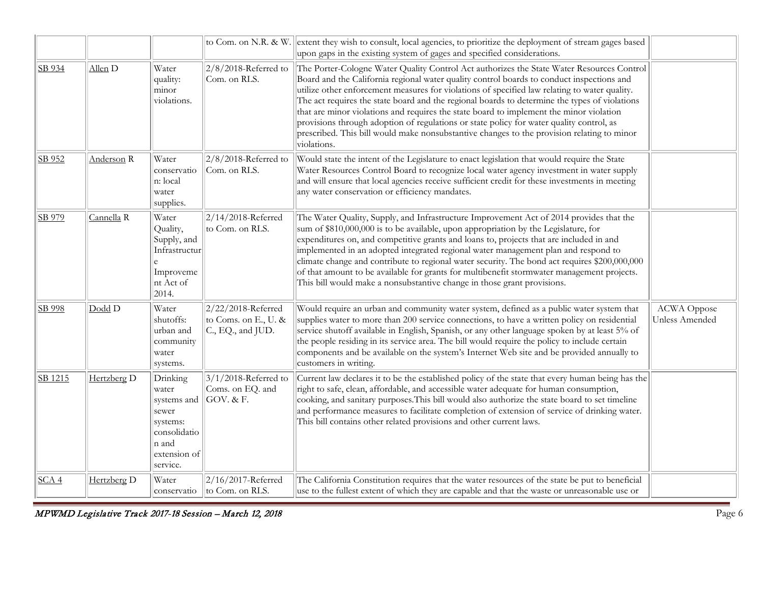|         |                       |                                                                                                            |                                                                 | to Com. on N.R. & W. extent they wish to consult, local agencies, to prioritize the deployment of stream gages based<br>upon gaps in the existing system of gages and specified considerations.                                                                                                                                                                                                                                                                                                                                                                                                                                                                                              |                                      |
|---------|-----------------------|------------------------------------------------------------------------------------------------------------|-----------------------------------------------------------------|----------------------------------------------------------------------------------------------------------------------------------------------------------------------------------------------------------------------------------------------------------------------------------------------------------------------------------------------------------------------------------------------------------------------------------------------------------------------------------------------------------------------------------------------------------------------------------------------------------------------------------------------------------------------------------------------|--------------------------------------|
| SB 934  | Allen <sub>D</sub>    | Water<br>quality:<br>minor<br>violations.                                                                  | $2/8/2018$ -Referred to<br>Com. on RLS.                         | The Porter-Cologne Water Quality Control Act authorizes the State Water Resources Control<br>Board and the California regional water quality control boards to conduct inspections and<br>utilize other enforcement measures for violations of specified law relating to water quality.<br>The act requires the state board and the regional boards to determine the types of violations<br>that are minor violations and requires the state board to implement the minor violation<br>provisions through adoption of regulations or state policy for water quality control, as<br>prescribed. This bill would make nonsubstantive changes to the provision relating to minor<br>violations. |                                      |
| SB 952  | Anderson <sub>R</sub> | Water<br>conservatio<br>n: local<br>water<br>supplies.                                                     | $2/8/2018$ -Referred to<br>Com. on RLS.                         | Would state the intent of the Legislature to enact legislation that would require the State<br>Water Resources Control Board to recognize local water agency investment in water supply<br>and will ensure that local agencies receive sufficient credit for these investments in meeting<br>any water conservation or efficiency mandates.                                                                                                                                                                                                                                                                                                                                                  |                                      |
| SB 979  | Cannella R            | Water<br>Quality,<br>Supply, and<br>Infrastructur<br>Improveme<br>nt Act of<br>2014.                       | $2/14/2018$ -Referred<br>to Com. on RLS.                        | The Water Quality, Supply, and Infrastructure Improvement Act of 2014 provides that the<br>sum of \$810,000,000 is to be available, upon appropriation by the Legislature, for<br>expenditures on, and competitive grants and loans to, projects that are included in and<br>implemented in an adopted integrated regional water management plan and respond to<br>climate change and contribute to regional water security. The bond act requires \$200,000,000<br>of that amount to be available for grants for multibenefit stormwater management projects.<br>This bill would make a nonsubstantive change in those grant provisions.                                                    |                                      |
| SB 998  | Dodd D                | Water<br>shutoffs:<br>urban and<br>community<br>water<br>systems.                                          | 2/22/2018-Referred<br>to Coms. on E., U. &<br>C., EQ., and JUD. | Would require an urban and community water system, defined as a public water system that<br>supplies water to more than 200 service connections, to have a written policy on residential<br>service shutoff available in English, Spanish, or any other language spoken by at least 5% of<br>the people residing in its service area. The bill would require the policy to include certain<br>components and be available on the system's Internet Web site and be provided annually to<br>customers in writing.                                                                                                                                                                             | <b>ACWA</b> Oppose<br>Unless Amended |
| SB 1215 | Hertzberg D           | Drinking<br>water<br>systems and<br>sewer<br>systems:<br>consolidatio<br>n and<br>extension of<br>service. | $3/1/2018$ -Referred to<br>Coms. on EQ. and<br>GOV. & F.        | Current law declares it to be the established policy of the state that every human being has the<br>right to safe, clean, affordable, and accessible water adequate for human consumption,<br>cooking, and sanitary purposes. This bill would also authorize the state board to set timeline<br>and performance measures to facilitate completion of extension of service of drinking water.<br>This bill contains other related provisions and other current laws.                                                                                                                                                                                                                          |                                      |
| SCA4    | Hertzberg D           | Water<br>conservatio                                                                                       | 2/16/2017-Referred<br>to Com. on RLS.                           | The California Constitution requires that the water resources of the state be put to beneficial<br>use to the fullest extent of which they are capable and that the waste or unreasonable use or                                                                                                                                                                                                                                                                                                                                                                                                                                                                                             |                                      |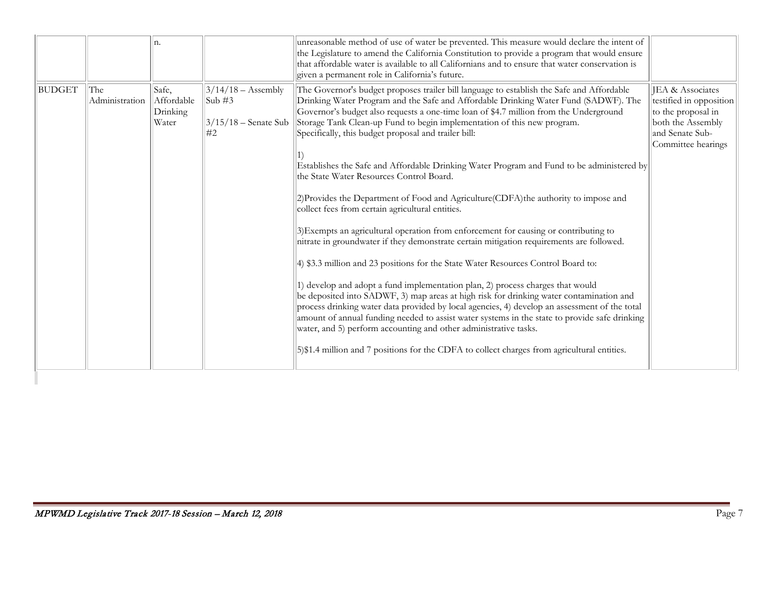|        |                       | n.                                       |                                                                           | unreasonable method of use of water be prevented. This measure would declare the intent of<br>the Legislature to amend the California Constitution to provide a program that would ensure<br>that affordable water is available to all Californians and to ensure that water conservation is<br>given a permanent role in California's future.                                                               |                                                                                                                                 |
|--------|-----------------------|------------------------------------------|---------------------------------------------------------------------------|--------------------------------------------------------------------------------------------------------------------------------------------------------------------------------------------------------------------------------------------------------------------------------------------------------------------------------------------------------------------------------------------------------------|---------------------------------------------------------------------------------------------------------------------------------|
| BUDGET | The<br>Administration | Safe,<br>Affordable<br>Drinking<br>Water | $3/14/18 -$ Assembly<br>$\text{Sub } \#3$<br>$3/15/18$ – Senate Sub<br>#2 | The Governor's budget proposes trailer bill language to establish the Safe and Affordable<br>Drinking Water Program and the Safe and Affordable Drinking Water Fund (SADWF). The<br>Governor's budget also requests a one-time loan of \$4.7 million from the Underground<br>Storage Tank Clean-up Fund to begin implementation of this new program.<br>Specifically, this budget proposal and trailer bill: | JEA & Associates<br>testified in opposition<br>to the proposal in<br>both the Assembly<br>and Senate Sub-<br>Committee hearings |
|        |                       |                                          |                                                                           | Establishes the Safe and Affordable Drinking Water Program and Fund to be administered by<br>the State Water Resources Control Board.                                                                                                                                                                                                                                                                        |                                                                                                                                 |
|        |                       |                                          |                                                                           | 2) Provides the Department of Food and Agriculture (CDFA) the authority to impose and<br>collect fees from certain agricultural entities.                                                                                                                                                                                                                                                                    |                                                                                                                                 |
|        |                       |                                          |                                                                           | 3) Exempts an agricultural operation from enforcement for causing or contributing to<br>nitrate in groundwater if they demonstrate certain mitigation requirements are followed.                                                                                                                                                                                                                             |                                                                                                                                 |
|        |                       |                                          |                                                                           | 4) \$3.3 million and 23 positions for the State Water Resources Control Board to:<br>1) develop and adopt a fund implementation plan, 2) process charges that would                                                                                                                                                                                                                                          |                                                                                                                                 |
|        |                       |                                          |                                                                           | be deposited into SADWF, 3) map areas at high risk for drinking water contamination and<br>process drinking water data provided by local agencies, 4) develop an assessment of the total<br>amount of annual funding needed to assist water systems in the state to provide safe drinking<br>water, and 5) perform accounting and other administrative tasks.                                                |                                                                                                                                 |
|        |                       |                                          |                                                                           | 5)\$1.4 million and 7 positions for the CDFA to collect charges from agricultural entities.                                                                                                                                                                                                                                                                                                                  |                                                                                                                                 |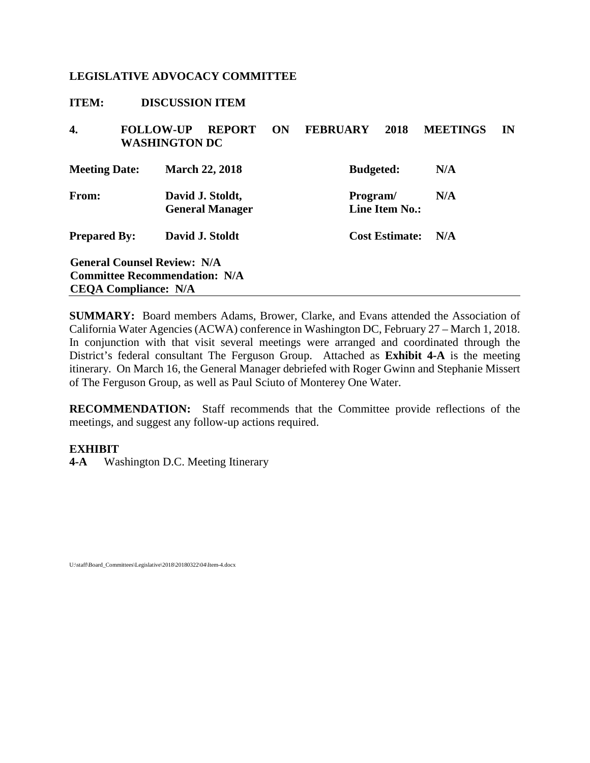<span id="page-15-0"></span>

| <b>ITEM:</b>         | <b>DISCUSSION ITEM</b>                   |                                            |    |                  |                       |                 |    |
|----------------------|------------------------------------------|--------------------------------------------|----|------------------|-----------------------|-----------------|----|
| 4.                   | <b>FOLLOW-UP</b><br><b>WASHINGTON DC</b> | <b>REPORT</b>                              | ON | <b>FEBRUARY</b>  | 2018                  | <b>MEETINGS</b> | IN |
| <b>Meeting Date:</b> |                                          | <b>March 22, 2018</b>                      |    | <b>Budgeted:</b> |                       | N/A             |    |
| From:                |                                          | David J. Stoldt,<br><b>General Manager</b> |    | Program/         | <b>Line Item No.:</b> | N/A             |    |
| <b>Prepared By:</b>  |                                          | David J. Stoldt                            |    |                  | <b>Cost Estimate:</b> | N/A             |    |
|                      | <b>General Counsel Review: N/A</b>       |                                            |    |                  |                       |                 |    |
|                      | <b>Committee Recommendation: N/A</b>     |                                            |    |                  |                       |                 |    |
|                      | <b>CEOA Compliance: N/A</b>              |                                            |    |                  |                       |                 |    |

**SUMMARY:** Board members Adams, Brower, Clarke, and Evans attended the Association of California Water Agencies (ACWA) conference in Washington DC, February 27 – March 1, 2018. In conjunction with that visit several meetings were arranged and coordinated through the District's federal consultant The Ferguson Group. Attached as **Exhibit [4-A](#page-16-0)** is the meeting itinerary. On March 16, the General Manager debriefed with Roger Gwinn and Stephanie Missert of The Ferguson Group, as well as Paul Sciuto of Monterey One Water.

**RECOMMENDATION:** Staff recommends that the Committee provide reflections of the meetings, and suggest any follow-up actions required.

#### **EXHIBIT**

**[4-A](#page-16-0)** Washington D.C. Meeting Itinerary

U:\staff\Board\_Committees\Legislative\2018\20180322\04\Item-4.docx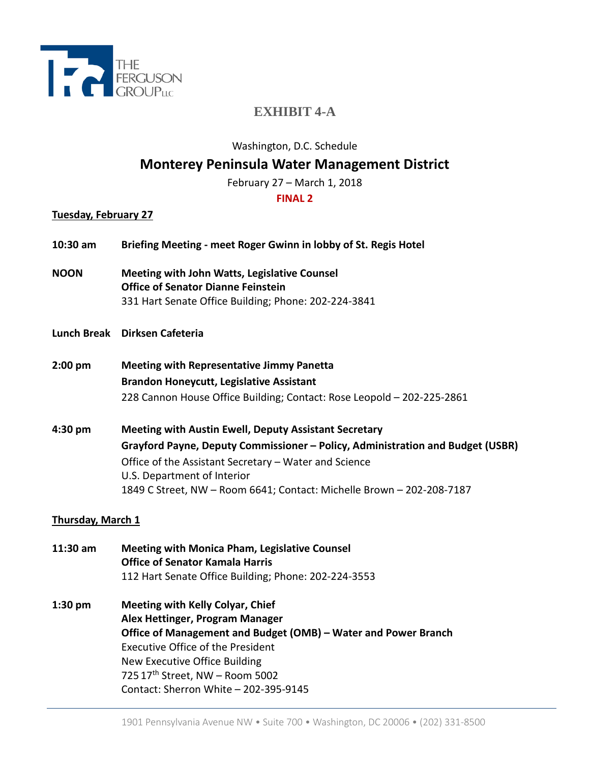<span id="page-16-0"></span>

# **EXHIBIT 4-A**

Washington, D.C. Schedule

# **Monterey Peninsula Water Management District**

February 27 – March 1, 2018

## **FINAL 2**

## **Tuesday, February 27**

- **10:30 am Briefing Meeting - meet Roger Gwinn in lobby of St. Regis Hotel**
- **NOON Meeting with John Watts, Legislative Counsel Office of Senator Dianne Feinstein** 331 Hart Senate Office Building; Phone: 202-224-3841
- **Lunch Break Dirksen Cafeteria**
- **2:00 pm Meeting with Representative Jimmy Panetta Brandon Honeycutt, Legislative Assistant** 228 Cannon House Office Building; Contact: Rose Leopold – 202-225-2861
- **4:30 pm Meeting with Austin Ewell, Deputy Assistant Secretary Grayford Payne, Deputy Commissioner – Policy, Administration and Budget (USBR)** Office of the Assistant Secretary – Water and Science U.S. Department of Interior 1849 C Street, NW – Room 6641; Contact: Michelle Brown – 202-208-7187

## **Thursday, March 1**

- **11:30 am Meeting with Monica Pham, Legislative Counsel Office of Senator Kamala Harris** 112 Hart Senate Office Building; Phone: 202-224-3553
- **1:30 pm Meeting with Kelly Colyar, Chief Alex Hettinger, Program Manager Office of Management and Budget (OMB) – Water and Power Branch** Executive Office of the President New Executive Office Building 725 17th Street, NW – Room 5002 Contact: Sherron White – 202-395-9145